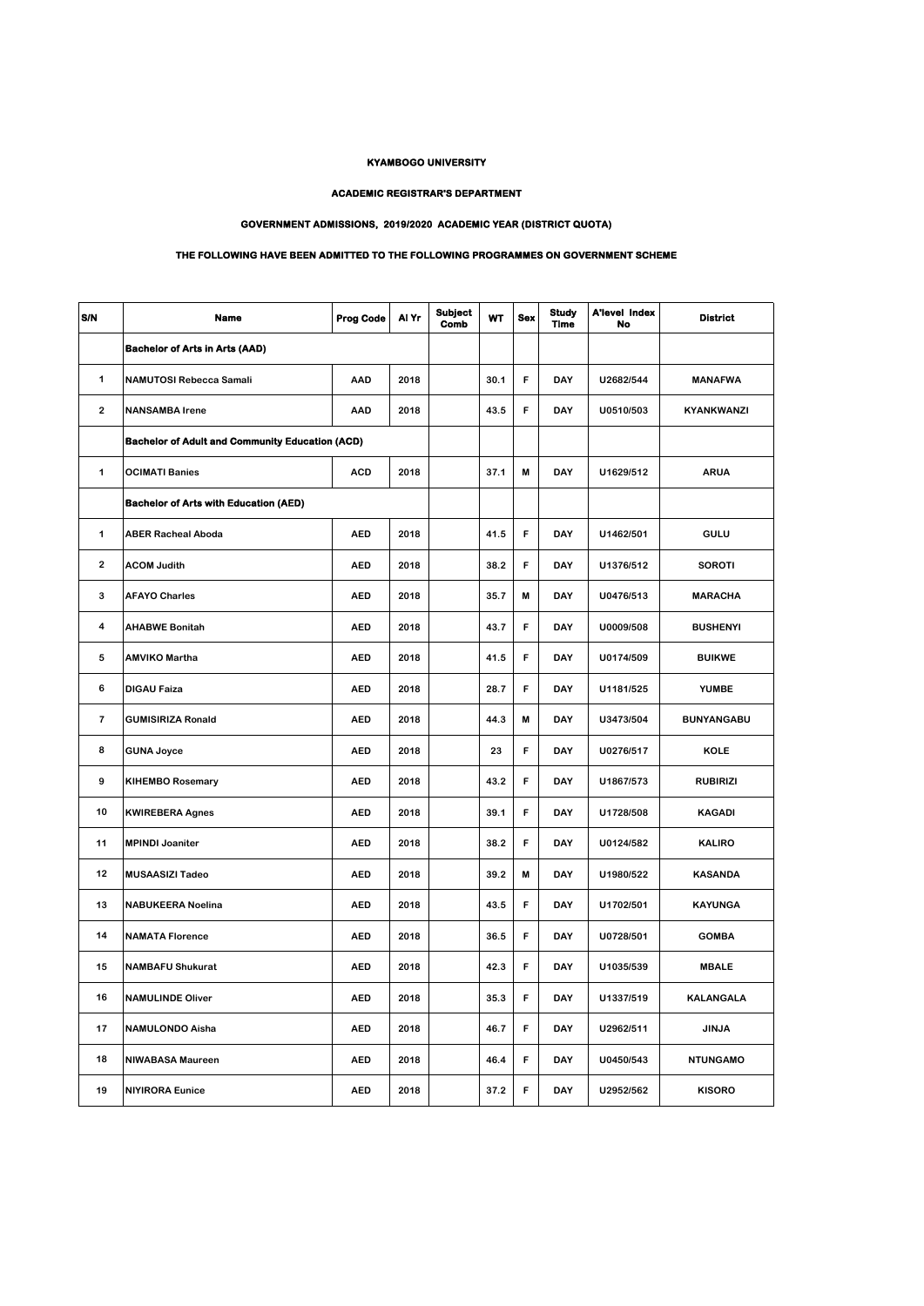## **KYAMBOGO UNIVERSITY**

## **ACADEMIC REGISTRAR'S DEPARTMENT**

## **GOVERNMENT ADMISSIONS, 2019/2020 ACADEMIC YEAR (DISTRICT QUOTA)**

## **THE FOLLOWING HAVE BEEN ADMITTED TO THE FOLLOWING PROGRAMMES ON GOVERNMENT SCHEME**

| S/N                     | <b>Name</b>                                            | <b>Prog Code</b> | Al Yr | <b>Subject</b><br>Comb | <b>WT</b> | <b>Sex</b> | <b>Study</b><br><b>Time</b> | <b>A'level Index</b><br>No | <b>District</b>   |
|-------------------------|--------------------------------------------------------|------------------|-------|------------------------|-----------|------------|-----------------------------|----------------------------|-------------------|
|                         | <b>Bachelor of Arts in Arts (AAD)</b>                  |                  |       |                        |           |            |                             |                            |                   |
| 1                       | <b>NAMUTOSI Rebecca Samali</b>                         | AAD              | 2018  |                        | 30.1      | F          | DAY                         | U2682/544                  | <b>MANAFWA</b>    |
| $\overline{\mathbf{2}}$ | <b>NANSAMBA Irene</b>                                  | AAD              | 2018  |                        | 43.5      | F          | DAY                         | U0510/503                  | KYANKWANZI        |
|                         | <b>Bachelor of Adult and Community Education (ACD)</b> |                  |       |                        |           |            |                             |                            |                   |
| 1                       | <b>OCIMATI Banies</b>                                  | <b>ACD</b>       | 2018  |                        | 37.1      | M          | DAY                         | U1629/512                  | <b>ARUA</b>       |
|                         | <b>Bachelor of Arts with Education (AED)</b>           |                  |       |                        |           |            |                             |                            |                   |
| 1                       | <b>ABER Racheal Aboda</b>                              | <b>AED</b>       | 2018  |                        | 41.5      | F          | DAY                         | U1462/501                  | GULU              |
| $\overline{2}$          | <b>ACOM Judith</b>                                     | <b>AED</b>       | 2018  |                        | 38.2      | F          | DAY                         | U1376/512                  | <b>SOROTI</b>     |
| 3                       | <b>AFAYO Charles</b>                                   | <b>AED</b>       | 2018  |                        | 35.7      | M          | DAY                         | U0476/513                  | <b>MARACHA</b>    |
| 4                       | <b>AHABWE Bonitah</b>                                  | <b>AED</b>       | 2018  |                        | 43.7      | F          | DAY                         | U0009/508                  | <b>BUSHENYI</b>   |
| 5                       | <b>AMVIKO Martha</b>                                   | <b>AED</b>       | 2018  |                        | 41.5      | F          | DAY                         | U0174/509                  | <b>BUIKWE</b>     |
| 6                       | <b>DIGAU Faiza</b>                                     | <b>AED</b>       | 2018  |                        | 28.7      | F          | DAY                         | U1181/525                  | <b>YUMBE</b>      |
| $\overline{\mathbf{r}}$ | <b>GUMISIRIZA Ronald</b>                               | <b>AED</b>       | 2018  |                        | 44.3      | M          | DAY                         | U3473/504                  | <b>BUNYANGABU</b> |
| 8                       | <b>GUNA Joyce</b>                                      | <b>AED</b>       | 2018  |                        | 23        | F          | DAY                         | U0276/517                  | <b>KOLE</b>       |
| 9                       | <b>KIHEMBO Rosemary</b>                                | <b>AED</b>       | 2018  |                        | 43.2      | F          | DAY                         | U1867/573                  | <b>RUBIRIZI</b>   |
| 10                      | <b>KWIREBERA Agnes</b>                                 | <b>AED</b>       | 2018  |                        | 39.1      | F          | DAY                         | U1728/508                  | <b>KAGADI</b>     |
| 11                      | <b>MPINDI Joaniter</b>                                 | <b>AED</b>       | 2018  |                        | 38.2      | F          | DAY                         | U0124/582                  | <b>KALIRO</b>     |
| 12                      | <b>MUSAASIZI Tadeo</b>                                 | <b>AED</b>       | 2018  |                        | 39.2      | M          | DAY                         | U1980/522                  | <b>KASANDA</b>    |
| 13                      | <b>NABUKEERA Noelina</b>                               | <b>AED</b>       | 2018  |                        | 43.5      | F          | DAY                         | U1702/501                  | <b>KAYUNGA</b>    |
| 14                      | <b>NAMATA Florence</b>                                 | <b>AED</b>       | 2018  |                        | 36.5      | F          | DAY                         | U0728/501                  | <b>GOMBA</b>      |
| 15                      | <b>NAMBAFU Shukurat</b>                                | <b>AED</b>       | 2018  |                        | 42.3      | F          | DAY                         | U1035/539                  | <b>MBALE</b>      |
| 16                      | <b>NAMULINDE Oliver</b>                                | <b>AED</b>       | 2018  |                        | 35.3      | F          | DAY                         | U1337/519                  | <b>KALANGALA</b>  |
| 17                      | <b>NAMULONDO Aisha</b>                                 | <b>AED</b>       | 2018  |                        | 46.7      | F          | DAY                         | U2962/511                  | <b>JINJA</b>      |
| 18                      | <b>NIWABASA Maureen</b>                                | <b>AED</b>       | 2018  |                        | 46.4      | F          | DAY                         | U0450/543                  | <b>NTUNGAMO</b>   |
| 19                      | <b>NIYIRORA Eunice</b>                                 | <b>AED</b>       | 2018  |                        | 37.2      | F          | DAY                         | U2952/562                  | <b>KISORO</b>     |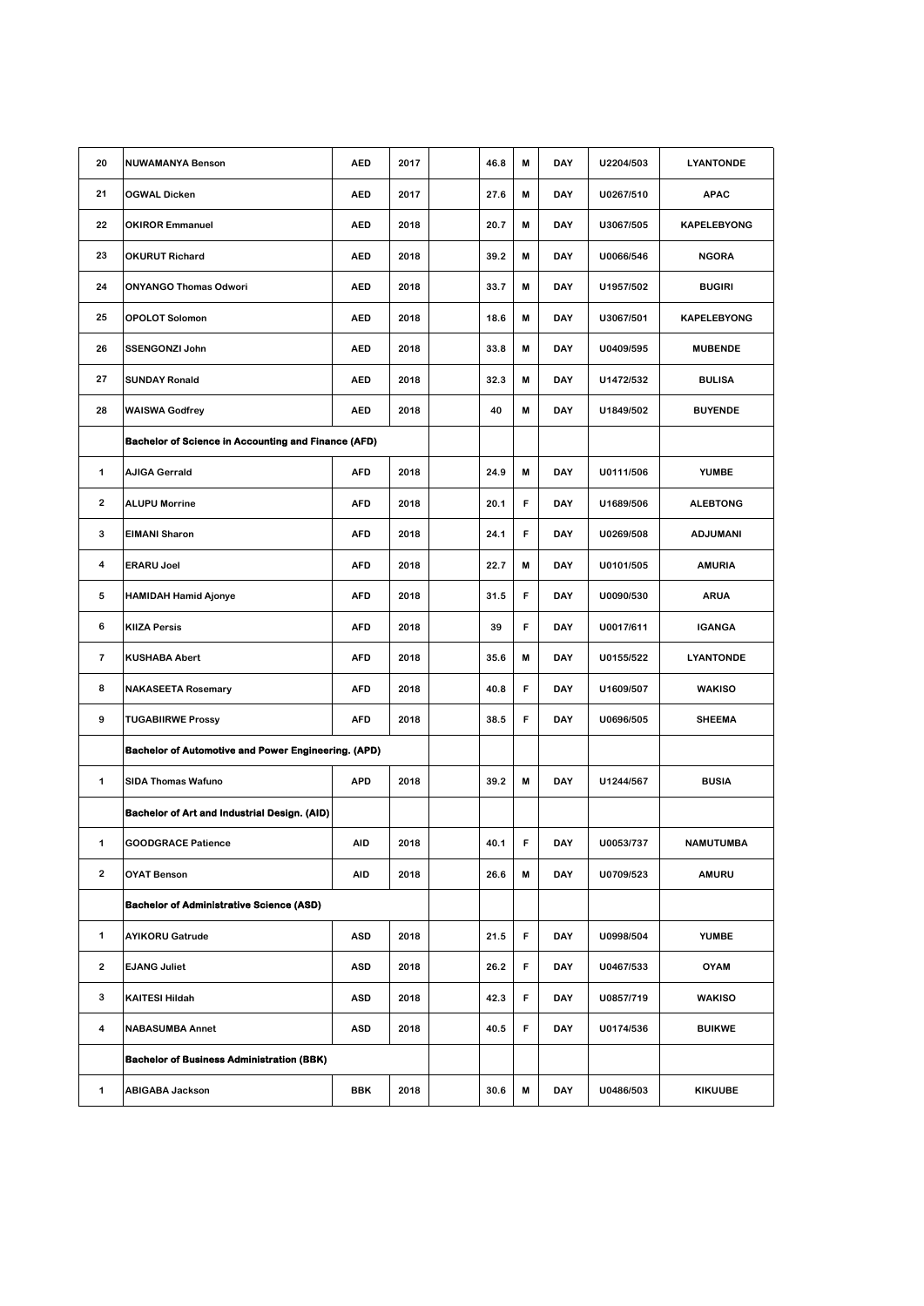| 20                      | <b>NUWAMANYA Benson</b>                                    | <b>AED</b> | 2017 | 46.8 | M | DAY        | U2204/503 | <b>LYANTONDE</b>   |
|-------------------------|------------------------------------------------------------|------------|------|------|---|------------|-----------|--------------------|
| 21                      | <b>OGWAL Dicken</b>                                        | <b>AED</b> | 2017 | 27.6 | M | DAY        | U0267/510 | <b>APAC</b>        |
| 22                      | <b>OKIROR Emmanuel</b>                                     | <b>AED</b> | 2018 | 20.7 | M | <b>DAY</b> | U3067/505 | <b>KAPELEBYONG</b> |
| 23                      | <b>OKURUT Richard</b>                                      | <b>AED</b> | 2018 | 39.2 | M | <b>DAY</b> | U0066/546 | <b>NGORA</b>       |
| 24                      | <b>ONYANGO Thomas Odwori</b>                               | <b>AED</b> | 2018 | 33.7 | M | DAY        | U1957/502 | <b>BUGIRI</b>      |
| 25                      | <b>OPOLOT Solomon</b>                                      | <b>AED</b> | 2018 | 18.6 | M | DAY        | U3067/501 | <b>KAPELEBYONG</b> |
| 26                      | <b>SSENGONZI John</b>                                      | <b>AED</b> | 2018 | 33.8 | M | <b>DAY</b> | U0409/595 | <b>MUBENDE</b>     |
| 27                      | <b>SUNDAY Ronald</b>                                       | <b>AED</b> | 2018 | 32.3 | M | DAY        | U1472/532 | <b>BULISA</b>      |
| 28                      | <b>WAISWA Godfrey</b>                                      | <b>AED</b> | 2018 | 40   | M | DAY        | U1849/502 | <b>BUYENDE</b>     |
|                         | <b>Bachelor of Science in Accounting and Finance (AFD)</b> |            |      |      |   |            |           |                    |
| 1                       | <b>AJIGA Gerrald</b>                                       | <b>AFD</b> | 2018 | 24.9 | M | <b>DAY</b> | U0111/506 | <b>YUMBE</b>       |
| 2                       | <b>ALUPU Morrine</b>                                       | <b>AFD</b> | 2018 | 20.1 | F | DAY        | U1689/506 | <b>ALEBTONG</b>    |
| 3                       | <b>EIMANI Sharon</b>                                       | AFD        | 2018 | 24.1 | F | DAY        | U0269/508 | <b>ADJUMANI</b>    |
| 4                       | <b>ERARU Joel</b>                                          | <b>AFD</b> | 2018 | 22.7 | M | <b>DAY</b> | U0101/505 | <b>AMURIA</b>      |
| 5                       | <b>HAMIDAH Hamid Ajonye</b>                                | <b>AFD</b> | 2018 | 31.5 | F | DAY        | U0090/530 | <b>ARUA</b>        |
| 6                       | <b>KIIZA Persis</b>                                        | <b>AFD</b> | 2018 | 39   | F | DAY        | U0017/611 | <b>IGANGA</b>      |
| $\overline{\mathbf{r}}$ | <b>KUSHABA Abert</b>                                       | AFD        | 2018 | 35.6 | M | DAY        | U0155/522 | <b>LYANTONDE</b>   |
| 8                       | <b>NAKASEETA Rosemary</b>                                  | <b>AFD</b> | 2018 | 40.8 | F | <b>DAY</b> | U1609/507 | <b>WAKISO</b>      |
| 9                       | <b>TUGABIIRWE Prossy</b>                                   | <b>AFD</b> | 2018 | 38.5 | F | DAY        | U0696/505 | <b>SHEEMA</b>      |
|                         | Bachelor of Automotive and Power Engineering. (APD)        |            |      |      |   |            |           |                    |
| 1                       | <b>SIDA Thomas Wafuno</b>                                  | <b>APD</b> | 2018 | 39.2 | M | <b>DAY</b> | U1244/567 | <b>BUSIA</b>       |
|                         | Bachelor of Art and Industrial Design. (AID)               |            |      |      |   |            |           |                    |
|                         | <b>GOODGRACE Patience</b>                                  | AID        | 2018 | 40.1 | F | DAY        | U0053/737 | <b>NAMUTUMBA</b>   |
| $\mathbf{2}$            | <b>OYAT Benson</b>                                         | AID        | 2018 | 26.6 | M | DAY        | U0709/523 | <b>AMURU</b>       |
|                         | <b>Bachelor of Administrative Science (ASD)</b>            |            |      |      |   |            |           |                    |
| $\mathbf{1}$            | <b>AYIKORU Gatrude</b>                                     | <b>ASD</b> | 2018 | 21.5 | F | DAY        | U0998/504 | <b>YUMBE</b>       |
| $\overline{2}$          | <b>EJANG Juliet</b>                                        | <b>ASD</b> | 2018 | 26.2 | F | DAY        | U0467/533 | <b>OYAM</b>        |
| 3                       | <b>KAITESI Hildah</b>                                      | ASD        | 2018 | 42.3 | F | DAY        | U0857/719 | <b>WAKISO</b>      |
| 4                       | <b>NABASUMBA Annet</b>                                     | <b>ASD</b> | 2018 | 40.5 | F | DAY        | U0174/536 | <b>BUIKWE</b>      |
|                         | <b>Bachelor of Business Administration (BBK)</b>           |            |      |      |   |            |           |                    |
| $\mathbf{1}$            | <b>ABIGABA Jackson</b>                                     | <b>BBK</b> | 2018 | 30.6 | M | DAY        | U0486/503 | <b>KIKUUBE</b>     |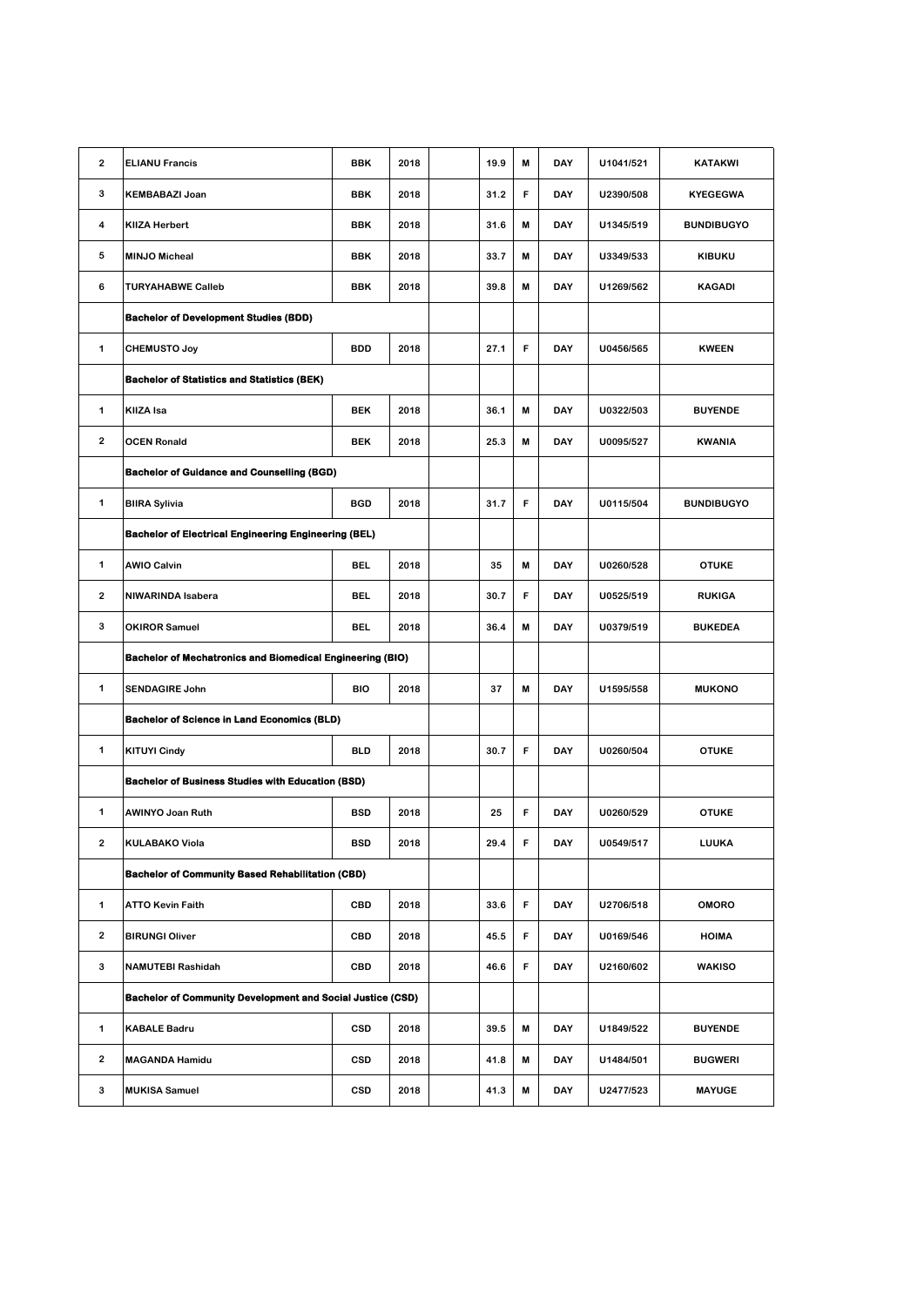| 2                       | <b>ELIANU Francis</b>                                             | <b>BBK</b> | 2018 |  | 19.9 | M | <b>DAY</b> | U1041/521 | <b>KATAKWI</b>    |
|-------------------------|-------------------------------------------------------------------|------------|------|--|------|---|------------|-----------|-------------------|
| 3                       | <b>KEMBABAZI Joan</b>                                             | BBK        | 2018 |  | 31.2 | F | DAY        | U2390/508 | <b>KYEGEGWA</b>   |
| 4                       | <b>KIIZA Herbert</b>                                              | BBK        | 2018 |  | 31.6 | M | DAY        | U1345/519 | <b>BUNDIBUGYO</b> |
| 5                       | <b>MINJO Micheal</b>                                              | <b>BBK</b> | 2018 |  | 33.7 | M | <b>DAY</b> | U3349/533 | <b>KIBUKU</b>     |
| 6                       | <b>TURYAHABWE Calleb</b>                                          | BBK        | 2018 |  | 39.8 | M | DAY        | U1269/562 | <b>KAGADI</b>     |
|                         | <b>Bachelor of Development Studies (BDD)</b>                      |            |      |  |      |   |            |           |                   |
| 1                       | <b>CHEMUSTO Joy</b>                                               | <b>BDD</b> | 2018 |  | 27.1 | F | <b>DAY</b> | U0456/565 | <b>KWEEN</b>      |
|                         | <b>Bachelor of Statistics and Statistics (BEK)</b>                |            |      |  |      |   |            |           |                   |
| 1                       | KIIZA Isa                                                         | <b>BEK</b> | 2018 |  | 36.1 | M | DAY        | U0322/503 | <b>BUYENDE</b>    |
| $\mathbf{2}$            | <b>OCEN Ronald</b>                                                | <b>BEK</b> | 2018 |  | 25.3 | M | DAY        | U0095/527 | <b>KWANIA</b>     |
|                         | <b>Bachelor of Guidance and Counselling (BGD)</b>                 |            |      |  |      |   |            |           |                   |
| 1                       | <b>BIIRA Sylivia</b>                                              | <b>BGD</b> | 2018 |  | 31.7 | F | DAY        | U0115/504 | <b>BUNDIBUGYO</b> |
|                         | <b>Bachelor of Electrical Engineering Engineering (BEL)</b>       |            |      |  |      |   |            |           |                   |
| 1                       | <b>AWIO Calvin</b>                                                | <b>BEL</b> | 2018 |  | 35   | M | <b>DAY</b> | U0260/528 | <b>OTUKE</b>      |
| 2                       | NIWARINDA Isabera                                                 | BEL        | 2018 |  | 30.7 | F | DAY        | U0525/519 | <b>RUKIGA</b>     |
| 3                       | <b>OKIROR Samuel</b>                                              | <b>BEL</b> | 2018 |  | 36.4 | M | <b>DAY</b> | U0379/519 | <b>BUKEDEA</b>    |
|                         | <b>Bachelor of Mechatronics and Biomedical Engineering (BIO)</b>  |            |      |  |      |   |            |           |                   |
| 1                       | <b>SENDAGIRE John</b>                                             | <b>BIO</b> | 2018 |  | 37   | M | DAY        | U1595/558 | <b>MUKONO</b>     |
|                         | <b>Bachelor of Science in Land Economics (BLD)</b>                |            |      |  |      |   |            |           |                   |
| 1                       | <b>KITUYI Cindy</b>                                               | <b>BLD</b> | 2018 |  | 30.7 | F | <b>DAY</b> | U0260/504 | <b>OTUKE</b>      |
|                         | <b>Bachelor of Business Studies with Education (BSD)</b>          |            |      |  |      |   |            |           |                   |
| 1                       | <b>AWINYO Joan Ruth</b>                                           | <b>BSD</b> | 2018 |  | 25   | F | DAY        | U0260/529 | <b>OTUKE</b>      |
| 2                       | <b>KULABAKO Viola</b>                                             | BSD        | 2018 |  | 29.4 | F | DAY        | U0549/517 | LUUKA             |
|                         | <b>Bachelor of Community Based Rehabilitation (CBD)</b>           |            |      |  |      |   |            |           |                   |
| $\mathbf{1}$            | <b>ATTO Kevin Faith</b>                                           | CBD        | 2018 |  | 33.6 | F | DAY        | U2706/518 | <b>OMORO</b>      |
| $\overline{\mathbf{2}}$ | <b>BIRUNGI Oliver</b>                                             | CBD        | 2018 |  | 45.5 | F | DAY        | U0169/546 | <b>HOIMA</b>      |
| 3                       | <b>NAMUTEBI Rashidah</b>                                          | CBD        | 2018 |  | 46.6 | F | DAY        | U2160/602 | <b>WAKISO</b>     |
|                         | <b>Bachelor of Community Development and Social Justice (CSD)</b> |            |      |  |      |   |            |           |                   |
| $\mathbf{1}$            | <b>KABALE Badru</b>                                               | CSD        | 2018 |  | 39.5 | M | DAY        | U1849/522 | <b>BUYENDE</b>    |
| $\overline{2}$          | <b>MAGANDA Hamidu</b>                                             | CSD        | 2018 |  | 41.8 | M | DAY        | U1484/501 | <b>BUGWERI</b>    |
| 3                       | <b>MUKISA Samuel</b>                                              | CSD        | 2018 |  | 41.3 | M | DAY        | U2477/523 | <b>MAYUGE</b>     |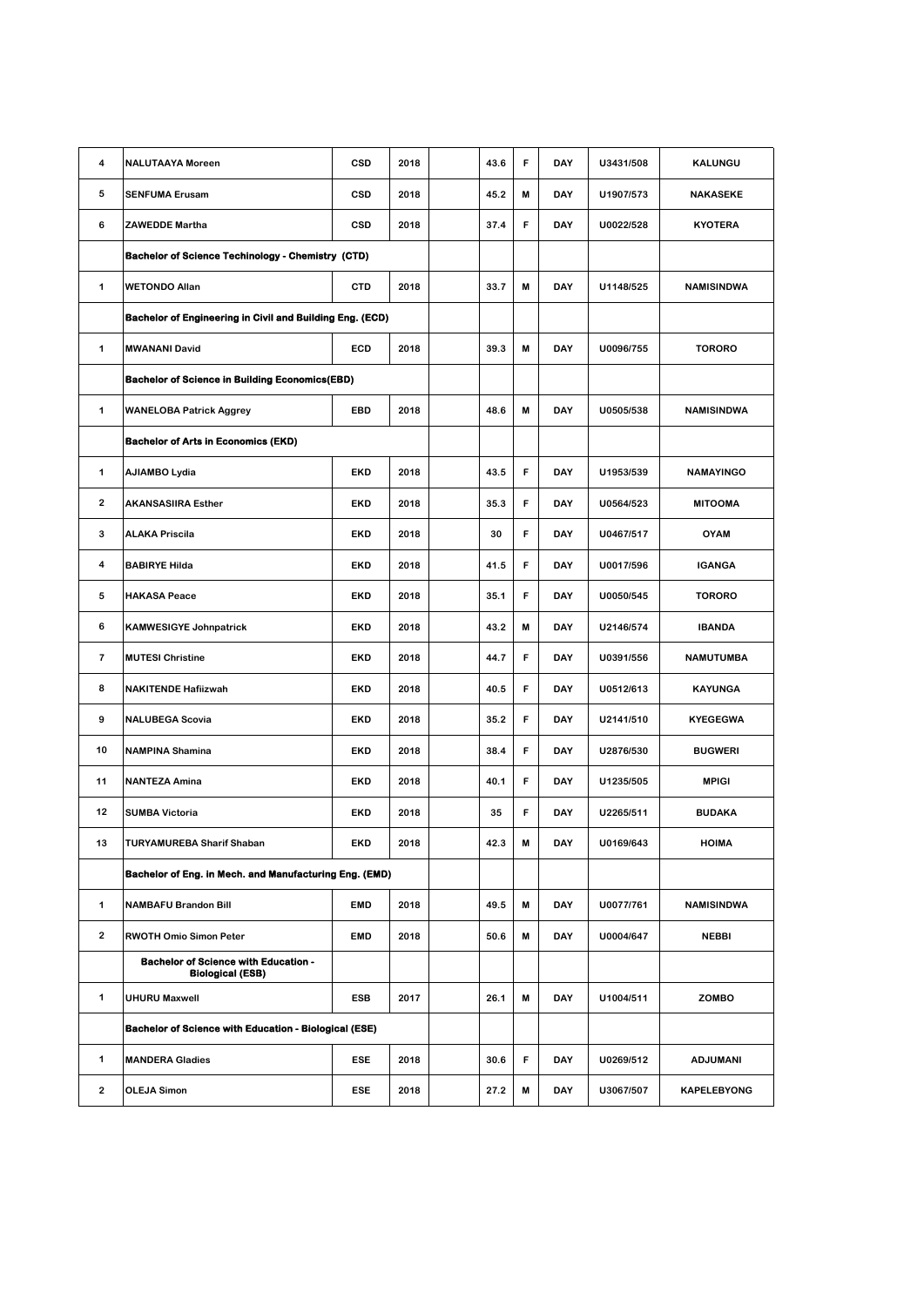| 4                       | <b>NALUTAAYA Moreen</b>                                                | <b>CSD</b> | 2018 |  | 43.6 | F | DAY        | U3431/508 | KALUNGU            |
|-------------------------|------------------------------------------------------------------------|------------|------|--|------|---|------------|-----------|--------------------|
| 5                       | <b>SENFUMA Erusam</b>                                                  | CSD        | 2018 |  | 45.2 | M | <b>DAY</b> | U1907/573 | <b>NAKASEKE</b>    |
| 6                       | <b>ZAWEDDE Martha</b>                                                  | CSD        | 2018 |  | 37.4 | F | <b>DAY</b> | U0022/528 | <b>KYOTERA</b>     |
|                         | <b>Bachelor of Science Techinology - Chemistry (CTD)</b>               |            |      |  |      |   |            |           |                    |
| 1                       | <b>WETONDO Allan</b>                                                   | <b>CTD</b> | 2018 |  | 33.7 | M | <b>DAY</b> | U1148/525 | <b>NAMISINDWA</b>  |
|                         | Bachelor of Engineering in Civil and Building Eng. (ECD)               |            |      |  |      |   |            |           |                    |
| 1                       | <b>MWANANI David</b>                                                   | ECD        | 2018 |  | 39.3 | M | DAY        | U0096/755 | <b>TORORO</b>      |
|                         | <b>Bachelor of Science in Building Economics(EBD)</b>                  |            |      |  |      |   |            |           |                    |
| 1                       | <b>WANELOBA Patrick Aggrey</b>                                         | EBD        | 2018 |  | 48.6 | M | <b>DAY</b> | U0505/538 | <b>NAMISINDWA</b>  |
|                         | <b>Bachelor of Arts in Economics (EKD)</b>                             |            |      |  |      |   |            |           |                    |
| 1                       | AJIAMBO Lydia                                                          | EKD        | 2018 |  | 43.5 | F | DAY        | U1953/539 | <b>NAMAYINGO</b>   |
| $\overline{2}$          | <b>AKANSASIIRA Esther</b>                                              | EKD        | 2018 |  | 35.3 | F | <b>DAY</b> | U0564/523 | <b>MITOOMA</b>     |
| 3                       | <b>ALAKA Priscila</b>                                                  | EKD        | 2018 |  | 30   | F | <b>DAY</b> | U0467/517 | <b>OYAM</b>        |
| 4                       | <b>BABIRYE Hilda</b>                                                   | <b>EKD</b> | 2018 |  | 41.5 | F | DAY        | U0017/596 | <b>IGANGA</b>      |
| 5                       | <b>HAKASA Peace</b>                                                    | EKD        | 2018 |  | 35.1 | F | DAY        | U0050/545 | <b>TORORO</b>      |
| 6                       | <b>KAMWESIGYE Johnpatrick</b>                                          | EKD        | 2018 |  | 43.2 | M | <b>DAY</b> | U2146/574 | <b>IBANDA</b>      |
| $\overline{\mathbf{r}}$ | <b>MUTESI Christine</b>                                                | <b>EKD</b> | 2018 |  | 44.7 | F | DAY        | U0391/556 | <b>NAMUTUMBA</b>   |
| 8                       | <b>NAKITENDE Hafiizwah</b>                                             | EKD        | 2018 |  | 40.5 | F | <b>DAY</b> | U0512/613 | <b>KAYUNGA</b>     |
| 9                       | <b>NALUBEGA Scovia</b>                                                 | EKD        | 2018 |  | 35.2 | F | DAY        | U2141/510 | <b>KYEGEGWA</b>    |
| 10                      | <b>NAMPINA Shamina</b>                                                 | EKD        | 2018 |  | 38.4 | F | DAY        | U2876/530 | <b>BUGWERI</b>     |
| 11                      | <b>NANTEZA Amina</b>                                                   | <b>EKD</b> | 2018 |  | 40.1 | F | DAY        | U1235/505 | <b>MPIGI</b>       |
| 12                      | <b>SUMBA Victoria</b>                                                  | <b>EKD</b> | 2018 |  | 35   | F | DAY        | U2265/511 | <b>BUDAKA</b>      |
| 13                      | TURYAMUREBA Sharif Shaban                                              | EKD        | 2018 |  | 42.3 | M | DAY        | U0169/643 | <b>HOIMA</b>       |
|                         | Bachelor of Eng. in Mech. and Manufacturing Eng. (EMD)                 |            |      |  |      |   |            |           |                    |
| 1                       | <b>NAMBAFU Brandon Bill</b>                                            | <b>EMD</b> | 2018 |  | 49.5 | M | DAY        | U0077/761 | <b>NAMISINDWA</b>  |
| $\overline{\mathbf{2}}$ | RWOTH Omio Simon Peter                                                 | <b>EMD</b> | 2018 |  | 50.6 | M | DAY        | U0004/647 | NEBBI              |
|                         | <b>Bachelor of Science with Education -</b><br><b>Biological (ESB)</b> |            |      |  |      |   |            |           |                    |
| 1                       | <b>UHURU Maxwell</b>                                                   | ESB        | 2017 |  | 26.1 | M | DAY        | U1004/511 | ZOMBO              |
|                         | <b>Bachelor of Science with Education - Biological (ESE)</b>           |            |      |  |      |   |            |           |                    |
| 1                       | <b>MANDERA Gladies</b>                                                 | ESE        | 2018 |  | 30.6 | F | DAY        | U0269/512 | <b>ADJUMANI</b>    |
| 2                       | <b>OLEJA Simon</b>                                                     | ESE        | 2018 |  | 27.2 | M | DAY        | U3067/507 | <b>KAPELEBYONG</b> |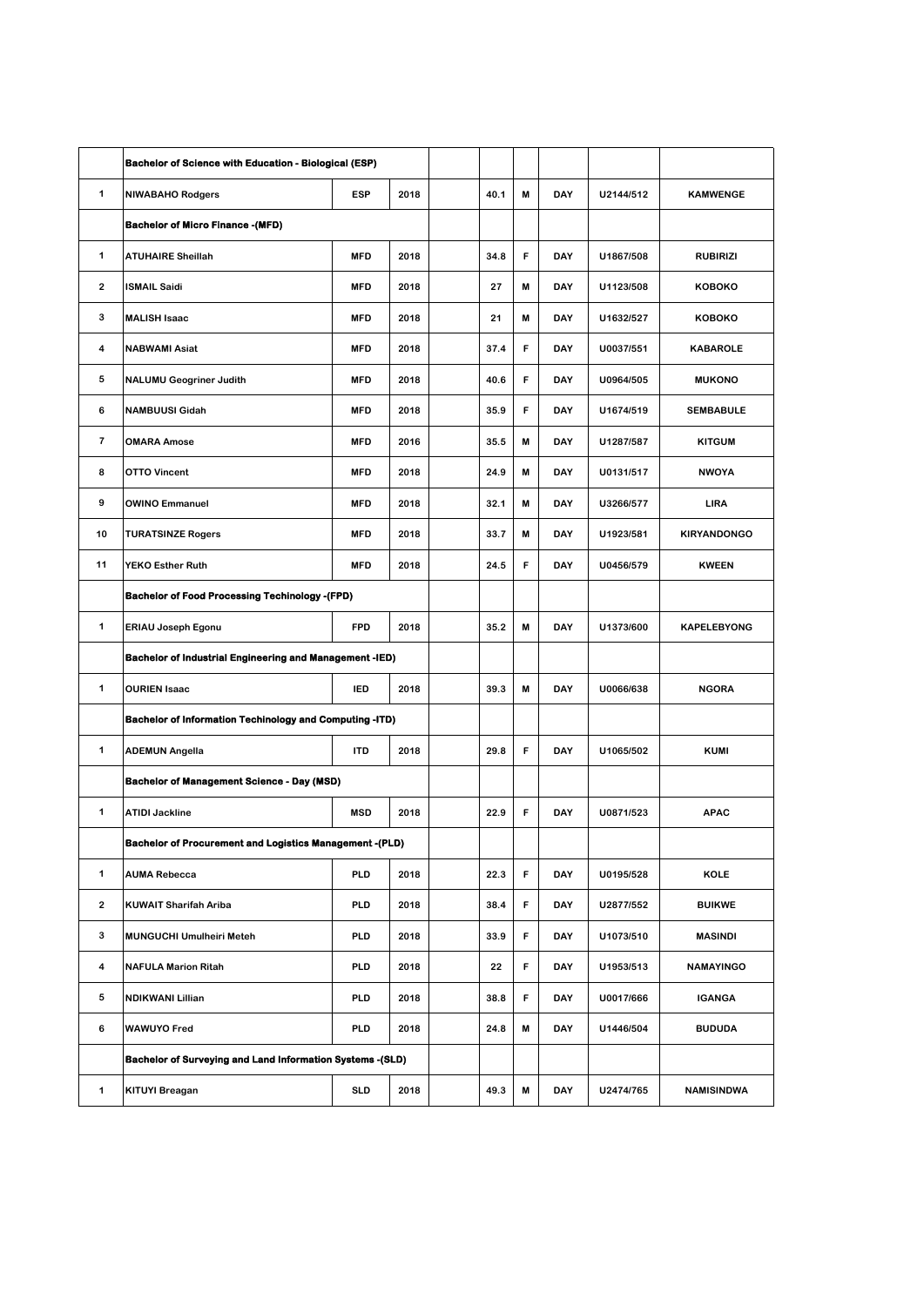|                         | <b>Bachelor of Science with Education - Biological (ESP)</b>     |            |      |  |      |   |     |           |                    |
|-------------------------|------------------------------------------------------------------|------------|------|--|------|---|-----|-----------|--------------------|
| $\mathbf 1$             | <b>NIWABAHO Rodgers</b>                                          | <b>ESP</b> | 2018 |  | 40.1 | M | DAY | U2144/512 | <b>KAMWENGE</b>    |
|                         | <b>Bachelor of Micro Finance -(MFD)</b>                          |            |      |  |      |   |     |           |                    |
| $\mathbf 1$             | <b>ATUHAIRE Sheillah</b>                                         | <b>MFD</b> | 2018 |  | 34.8 | F | DAY | U1867/508 | <b>RUBIRIZI</b>    |
| $\mathbf{2}$            | <b>ISMAIL Saidi</b>                                              | <b>MFD</b> | 2018 |  | 27   | M | DAY | U1123/508 | KOBOKO             |
| 3                       | <b>MALISH Isaac</b>                                              | <b>MFD</b> | 2018 |  | 21   | M | DAY | U1632/527 | <b>KOBOKO</b>      |
| 4                       | <b>NABWAMI Asiat</b>                                             | <b>MFD</b> | 2018 |  | 37.4 | F | DAY | U0037/551 | <b>KABAROLE</b>    |
| 5                       | <b>NALUMU Geogriner Judith</b>                                   | <b>MFD</b> | 2018 |  | 40.6 | F | DAY | U0964/505 | <b>MUKONO</b>      |
| 6                       | <b>NAMBUUSI Gidah</b>                                            | <b>MFD</b> | 2018 |  | 35.9 | F | DAY | U1674/519 | <b>SEMBABULE</b>   |
| $\overline{\mathbf{r}}$ | <b>OMARA Amose</b>                                               | <b>MFD</b> | 2016 |  | 35.5 | M | DAY | U1287/587 | <b>KITGUM</b>      |
| 8                       | <b>OTTO Vincent</b>                                              | <b>MFD</b> | 2018 |  | 24.9 | M | DAY | U0131/517 | <b>NWOYA</b>       |
| 9                       | <b>OWINO Emmanuel</b>                                            | <b>MFD</b> | 2018 |  | 32.1 | M | DAY | U3266/577 | LIRA               |
| 10                      | <b>TURATSINZE Rogers</b>                                         | <b>MFD</b> | 2018 |  | 33.7 | M | DAY | U1923/581 | <b>KIRYANDONGO</b> |
| 11                      | <b>YEKO Esther Ruth</b>                                          | <b>MFD</b> | 2018 |  | 24.5 | F | DAY | U0456/579 | <b>KWEEN</b>       |
|                         | <b>Bachelor of Food Processing Techinology -(FPD)</b>            |            |      |  |      |   |     |           |                    |
| 1                       | ERIAU Joseph Egonu                                               | <b>FPD</b> | 2018 |  | 35.2 | M | DAY | U1373/600 | <b>KAPELEBYONG</b> |
|                         | <b>Bachelor of Industrial Engineering and Management -IED)</b>   |            |      |  |      |   |     |           |                    |
| 1                       | <b>OURIEN Isaac</b><br><b>IED</b><br>2018                        |            |      |  | 39.3 | M | DAY | U0066/638 | <b>NGORA</b>       |
|                         | <b>Bachelor of Information Techinology and Computing -ITD)</b>   |            |      |  |      |   |     |           |                    |
| 1                       | <b>ADEMUN Angella</b>                                            | <b>ITD</b> | 2018 |  | 29.8 | F | DAY | U1065/502 | <b>KUMI</b>        |
|                         | <b>Bachelor of Management Science - Day (MSD)</b>                |            |      |  |      |   |     |           |                    |
| 1                       | <b>ATIDI Jackline</b>                                            | <b>MSD</b> | 2018 |  | 22.9 | F | DAY | U0871/523 | <b>APAC</b>        |
|                         | <b>Bachelor of Procurement and Logistics Management -(PLD)</b>   |            |      |  |      |   |     |           |                    |
| $\mathbf{1}$            | <b>AUMA Rebecca</b>                                              | <b>PLD</b> | 2018 |  | 22.3 | F | DAY | U0195/528 | KOLE               |
| $\overline{\mathbf{2}}$ | KUWAIT Sharifah Ariba                                            | <b>PLD</b> | 2018 |  | 38.4 | F | DAY | U2877/552 | <b>BUIKWE</b>      |
| 3                       | <b>MUNGUCHI Umulheiri Meteh</b>                                  | <b>PLD</b> | 2018 |  | 33.9 | F | DAY | U1073/510 | <b>MASINDI</b>     |
| 4                       | <b>NAFULA Marion Ritah</b>                                       | PLD        | 2018 |  | 22   | F | DAY | U1953/513 | <b>NAMAYINGO</b>   |
| 5                       | NDIKWANI Lillian                                                 | <b>PLD</b> | 2018 |  | 38.8 | F | DAY | U0017/666 | <b>IGANGA</b>      |
| 6                       | <b>WAWUYO Fred</b>                                               | <b>PLD</b> | 2018 |  | 24.8 | M | DAY | U1446/504 | <b>BUDUDA</b>      |
|                         | <b>Bachelor of Surveying and Land Information Systems -(SLD)</b> |            |      |  |      |   |     |           |                    |
| $\mathbf{1}$            | KITUYI Breagan                                                   | <b>SLD</b> | 2018 |  | 49.3 | M | DAY | U2474/765 | <b>NAMISINDWA</b>  |